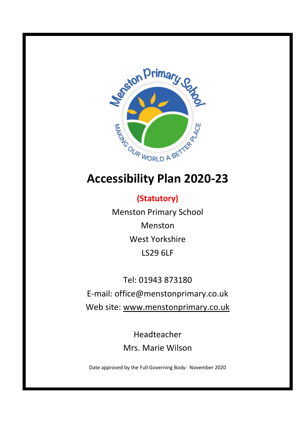

# **Accessibility Plan 2020-23**

**(Statutory)** Menston Primary School Menston West Yorkshire LS29 6LF

Tel: 01943 873180 E-mail: office@menstonprimary.co.uk Web site: [www.menstonprimary.co.uk](http://www.menston.ngfl.ac.uk/)

> Headteacher Mrs. Marie Wilson

Date approved by the Full Governing Body: November 2020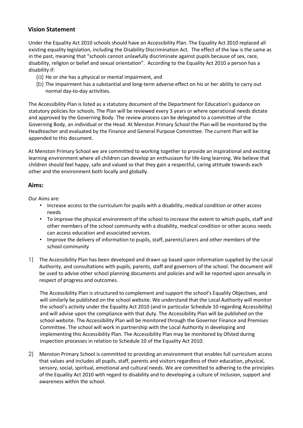# **Vision Statement**

Under the Equality Act 2010 schools should have an Accessibility Plan. The Equality Act 2010 replaced all existing equality legislation, including the Disability Discrimination Act. The effect of the law is the same as in the past, meaning that "schools cannot unlawfully discriminate against pupils because of sex, race, disability, religion or belief and sexual orientation". According to the Equality Act 2010 a person has a disability if:

- (a) He or she has a physical or mental impairment, and
- (b) The impairment has a substantial and long-term adverse effect on his or her ability to carry out normal day-to-day activities.

The Accessibility Plan is listed as a statutory document of the Department for Education's guidance on statutory policies for schools. The Plan will be reviewed every 3 years or where operational needs dictate and approved by the Governing Body. The review process can be delegated to a committee of the Governing Body, an individual or the Head. At Menston Primary School the Plan will be monitored by the Headteacher and evaluated by the Finance and General Purpose Committee. The current Plan will be appended to this document.

At Menston Primary School we are committed to working together to provide an inspirational and exciting learning environment where all children can develop an enthusiasm for life-long learning. We believe that children should feel happy, safe and valued so that they gain a respectful, caring attitude towards each other and the environment both locally and globally.

# **Aims:**

Our Aims are:

- Increase access to the curriculum for pupils with a disability, medical condition or other access needs
- To improve the physical environment of the school to increase the extent to which pupils, staff and other members of the school community with a disability, medical condition or other access needs can access education and associated services.
- Improve the delivery of information to pupils, staff, parents/carers and other members of the school community
- 1) The Accessibility Plan has been developed and drawn up based upon information supplied by the Local Authority, and consultations with pupils, parents, staff and governors of the school. The document will be used to advise other school planning documents and policies and will be reported upon annually in respect of progress and outcomes.

The Accessibility Plan is structured to complement and support the school's Equality Objectives, and will similarly be published on the school website. We understand that the Local Authority will monitor the school's activity under the Equality Act 2010 (and in particular Schedule 10 regarding Accessibility) and will advise upon the compliance with that duty. The Accessibility Plan will be published on the school website. The Accessibility Plan will be monitored through the Governor Finance and Premises Committee. The school will work in partnership with the Local Authority in developing and implementing this Accessibility Plan. The Accessibility Plan may be monitored by Ofsted during inspection processes in relation to Schedule 10 of the Equality Act 2010.

2) Menston Primary School is committed to providing an environment that enables full curriculum access that values and includes all pupils, staff, parents and visitors regardless of their education, physical, sensory, social, spiritual, emotional and cultural needs. We are committed to adhering to the principles of the Equality Act 2010 with regard to disability and to developing a culture of inclusion, support and awareness within the school.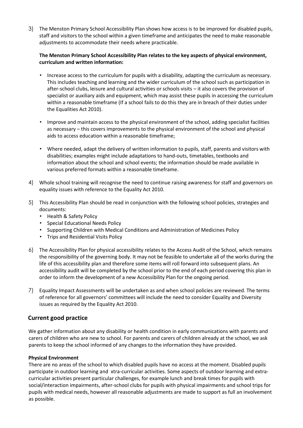3) The Menston Primary School Accessibility Plan shows how access is to be improved for disabled pupils, staff and visitors to the school within a given timeframe and anticipates the need to make reasonable adjustments to accommodate their needs where practicable.

## **The Menston Primary School Accessibility Plan relates to the key aspects of physical environment, curriculum and written information:**

- Increase access to the curriculum for pupils with a disability, adapting the curriculum as necessary. This includes teaching and learning and the wider curriculum of the school such as participation in after-school clubs, leisure and cultural activities or schools visits – it also covers the provision of specialist or auxiliary aids and equipment, which may assist these pupils in accessing the curriculum within a reasonable timeframe (If a school fails to do this they are in breach of their duties under the Equalities Act 2010).
- Improve and maintain access to the physical environment of the school, adding specialist facilities as necessary – this covers improvements to the physical environment of the school and physical aids to access education within a reasonable timeframe;
- Where needed, adapt the delivery of written information to pupils, staff, parents and visitors with disabilities; examples might include adaptations to hand-outs, timetables, textbooks and information about the school and school events; the information should be made available in various preferred formats within a reasonable timeframe.
- 4) Whole school training will recognise the need to continue raising awareness for staff and governors on equality issues with reference to the Equality Act 2010.
- 5) This Accessibility Plan should be read in conjunction with the following school policies, strategies and documents:
	- Health & Safety Policy
	- Special Educational Needs Policy
	- Supporting Children with Medical Conditions and Administration of Medicines Policy
	- Trips and Residential Visits Policy
- 6) The Accessibility Plan for physical accessibility relates to the Access Audit of the School, which remains the responsibility of the governing body. It may not be feasible to undertake all of the works during the life of this accessibility plan and therefore some items will roll forward into subsequent plans. An accessibility audit will be completed by the school prior to the end of each period covering this plan in order to inform the development of a new Accessibility Plan for the ongoing period.
- 7) Equality Impact Assessments will be undertaken as and when school policies are reviewed. The terms of reference for all governors' committees will include the need to consider Equality and Diversity issues as required by the Equality Act 2010.

# **Current good practice**

We gather information about any disability or health condition in early communications with parents and carers of children who are new to school. For parents and carers of children already at the school, we ask parents to keep the school informed of any changes to the information they have provided.

## **Physical Environment**

There are no areas of the school to which disabled pupils have no access at the moment. Disabled pupils participate in outdoor learning and xtra-curricular activities. Some aspects of outdoor learning and extracurricular activities present particular challenges, for example lunch and break times for pupils with social/interaction impairments, after-school clubs for pupils with physical impairments and school trips for pupils with medical needs, however all reasonable adjustments are made to support as full an involvement as possible.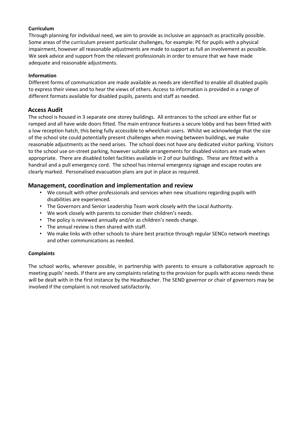#### **Curriculum**

Through planning for individual need, we aim to provide as inclusive an approach as practically possible. Some areas of the curriculum present particular challenges, for example: PE for pupils with a physical impairment, however all reasonable adjustments are made to support as full an involvement as possible. We seek advice and support from the relevant professionals in order to ensure that we have made adequate and reasonable adjustments.

#### **Information**

Different forms of communication are made available as needs are identified to enable all disabled pupils to express their views and to hear the views of others. Access to information is provided in a range of different formats available for disabled pupils, parents and staff as needed.

## **Access Audit**

The school is housed in 3 separate one storey buildings. All entrances to the school are either flat or ramped and all have wide doors fitted. The main entrance features a secure lobby and has been fitted with a low reception hatch, this being fully accessible to wheelchair users. Whilst we acknowledge that the size of the school site could potentially present challenges when moving between buildings, we make reasonable adjustments as the need arises. The school does not have any dedicated visitor parking. Visitors to the school use on-street parking, however suitable arrangements for disabled visitors are made when appropriate. There are disabled toilet facilities available in 2 of our buildings. These are fitted with a handrail and a pull emergency cord. The school has internal emergency signage and escape routes are clearly marked. Personalised evacuation plans are put in place as required.

# **Management, coordination and implementation and review**

- We consult with other professionals and services when new situations regarding pupils with disabilities are experienced.
- The Governors and Senior Leadership Team work closely with the Local Authority.
- We work closely with parents to consider their children's needs.
- The policy is reviewed annually and/or as children's needs change.
- The annual review is then shared with staff.
- We make links with other schools to share best practice through regular SENCo network meetings and other communications as needed.

## **Complaints**

The school works, wherever possible, in partnership with parents to ensure a collaborative approach to meeting pupils' needs. If there are any complaints relating to the provision for pupils with access needs these will be dealt with in the first instance by the Headteacher. The SEND governor or chair of governors may be involved if the complaint is not resolved satisfactorily.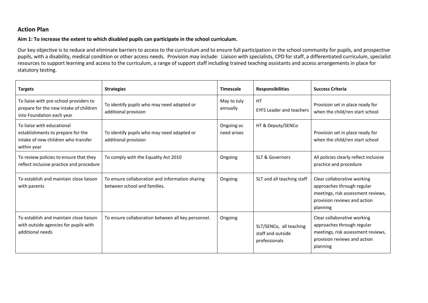# **Action Plan**

#### **Aim 1: To increase the extent to which disabled pupils can participate in the school curriculum.**

Our key objective is to reduce and eliminate barriers to access to the curriculum and to ensure full participation in the school community for pupils, and prospective pupils, with a disability, medical condition or other access needs. Provision may include: Liaison with specialists, CPD for staff, a differentiated curriculum, specialist resources to support learning and access to the curriculum, a range of support staff including trained teaching assistants and access arrangements in place for statutory testing.

| <b>Targets</b>                                                                                                        | <b>Strategies</b>                                                               | <b>Timescale</b>          | <b>Responsibilities</b>                                       | <b>Success Criteria</b>                                                                                                                     |
|-----------------------------------------------------------------------------------------------------------------------|---------------------------------------------------------------------------------|---------------------------|---------------------------------------------------------------|---------------------------------------------------------------------------------------------------------------------------------------------|
| To liaise with pre-school providers to<br>prepare for the new intake of children<br>into Foundation each year         | To identify pupils who may need adapted or<br>additional provision              | May to July<br>annually   | HT<br><b>EYFS Leader and teachers</b>                         | Provision set in place ready for<br>when the child/ren start school                                                                         |
| To liaise with educational<br>establishments to prepare for the<br>intake of new children who transfer<br>within year | To identify pupils who may need adapted or<br>additional provision              | Ongoing as<br>need arises | HT & Deputy/SENCo                                             | Provision set in place ready for<br>when the child/ren start school                                                                         |
| To review policies to ensure that they<br>reflect inclusive practice and procedure                                    | To comply with the Equality Act 2010                                            | Ongoing                   | <b>SLT &amp; Governors</b>                                    | All policies clearly reflect inclusive<br>practice and procedure                                                                            |
| To establish and maintain close liaison<br>with parents                                                               | To ensure collaboration and information sharing<br>between school and families. | Ongoing                   | SLT and all teaching staff                                    | Clear collaborative working<br>approaches through regular<br>meetings, risk assessment reviews,<br>provision reviews and action<br>planning |
| To establish and maintain close liaison<br>with outside agencies for pupils with<br>additional needs                  | To ensure collaboration between all key personnel.                              | Ongoing                   | SLT/SENCo, all teaching<br>staff and outside<br>professionals | Clear collaborative working<br>approaches through regular<br>meetings, risk assessment reviews,<br>provision reviews and action<br>planning |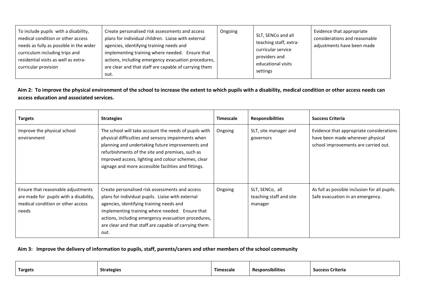| To include pupils with a disability,<br>medical condition or other access<br>needs as fully as possible in the wider<br>curriculum including trips and<br>residential visits as well as extra-<br>curricular provision | Create personalised risk assessments and access<br>plans for individual children. Liaise with external<br>agencies, identifying training needs and<br>implementing training where needed. Ensure that<br>actions, including emergency evacuation procedures,<br>are clear and that staff are capable of carrying them<br>out. | Ongoing | SLT, SENCo and all<br>teaching staff, extra-<br>curricular service<br>providers and<br>educational visits<br>settings | Evidence that appropriate<br>considerations and reasonable<br>adjustments have been made |
|------------------------------------------------------------------------------------------------------------------------------------------------------------------------------------------------------------------------|-------------------------------------------------------------------------------------------------------------------------------------------------------------------------------------------------------------------------------------------------------------------------------------------------------------------------------|---------|-----------------------------------------------------------------------------------------------------------------------|------------------------------------------------------------------------------------------|
|------------------------------------------------------------------------------------------------------------------------------------------------------------------------------------------------------------------------|-------------------------------------------------------------------------------------------------------------------------------------------------------------------------------------------------------------------------------------------------------------------------------------------------------------------------------|---------|-----------------------------------------------------------------------------------------------------------------------|------------------------------------------------------------------------------------------|

**Aim 2: To improve the physical environment of the school to increase the extent to which pupils with a disability, medical condition or other access needs can access education and associated services.** 

| <b>Targets</b>                                                                                                             | <b>Strategies</b>                                                                                                                                                                                                                                                                                                                  | <b>Timescale</b> | <b>Responsibilities</b>                               | <b>Success Criteria</b>                                                                                              |
|----------------------------------------------------------------------------------------------------------------------------|------------------------------------------------------------------------------------------------------------------------------------------------------------------------------------------------------------------------------------------------------------------------------------------------------------------------------------|------------------|-------------------------------------------------------|----------------------------------------------------------------------------------------------------------------------|
| Improve the physical school<br>environment                                                                                 | The school will take account the needs of pupils with<br>physical difficulties and sensory impairments when<br>planning and undertaking future improvements and<br>refurbishments of the site and premises, such as<br>improved access, lighting and colour schemes, clear<br>signage and more accessible facilities and fittings. | Ongoing          | SLT, site manager and<br>governors                    | Evidence that appropriate considerations<br>have been made wherever physical<br>school improvements are carried out. |
| Ensure that reasonable adjustments<br>are made for pupils with a disability,<br>medical condition or other access<br>needs | Create personalised risk assessments and access<br>plans for individual pupils. Liaise with external<br>agencies, identifying training needs and<br>implementing training where needed. Ensure that<br>actions, including emergency evacuation procedures,<br>are clear and that staff are capable of carrying them<br>out.        | Ongoing          | SLT, SENCo, all<br>teaching staff and site<br>manager | As full as possible inclusion for all pupils.<br>Safe evacuation in an emergency.                                    |

#### **Aim 3: Improve the delivery of information to pupils, staff, parents/carers and other members of the school community**

| <b>Targets</b> | <b>Strategies</b> | Timescale | <b>Responsibilities</b> | <b>Success Criteria</b> |
|----------------|-------------------|-----------|-------------------------|-------------------------|
|                |                   |           |                         |                         |